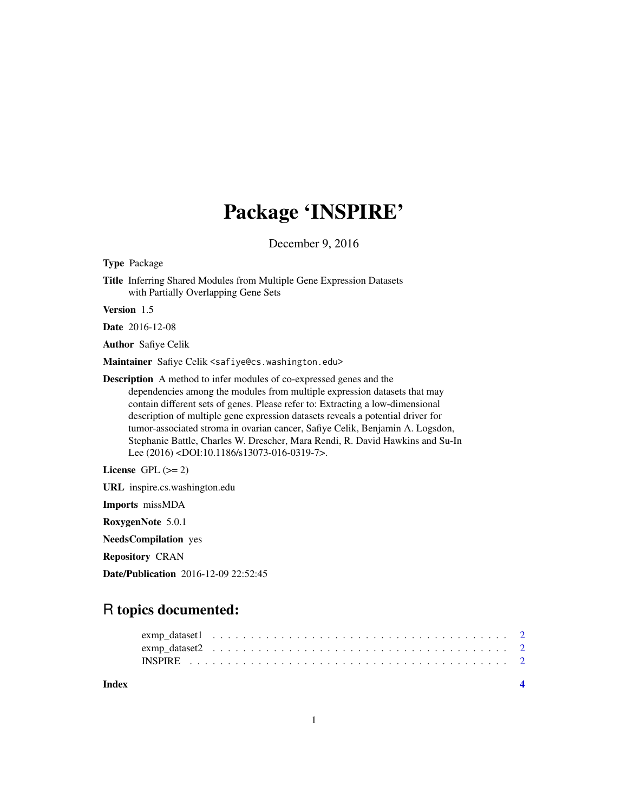# Package 'INSPIRE'

December 9, 2016

Type Package

Title Inferring Shared Modules from Multiple Gene Expression Datasets with Partially Overlapping Gene Sets

Version 1.5

Date 2016-12-08

Author Safiye Celik

Maintainer Safiye Celik <safiye@cs.washington.edu>

Description A method to infer modules of co-expressed genes and the dependencies among the modules from multiple expression datasets that may contain different sets of genes. Please refer to: Extracting a low-dimensional description of multiple gene expression datasets reveals a potential driver for tumor-associated stroma in ovarian cancer, Safiye Celik, Benjamin A. Logsdon, Stephanie Battle, Charles W. Drescher, Mara Rendi, R. David Hawkins and Su-In Lee (2016) <DOI:10.1186/s13073-016-0319-7>.

License GPL  $(>= 2)$ 

URL inspire.cs.washington.edu

Imports missMDA

RoxygenNote 5.0.1

NeedsCompilation yes

Repository CRAN

Date/Publication 2016-12-09 22:52:45

# R topics documented:

**Index** [4](#page-3-0)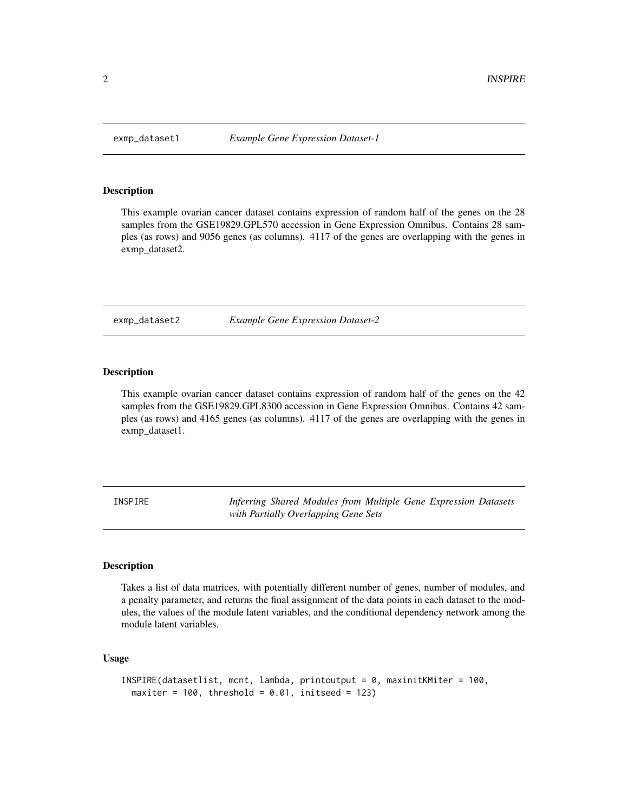<span id="page-1-0"></span>

#### **Description**

This example ovarian cancer dataset contains expression of random half of the genes on the 28 samples from the GSE19829.GPL570 accession in Gene Expression Omnibus. Contains 28 samples (as rows) and 9056 genes (as columns). 4117 of the genes are overlapping with the genes in exmp\_dataset2.

exmp\_dataset2 *Example Gene Expression Dataset-2*

#### Description

This example ovarian cancer dataset contains expression of random half of the genes on the 42 samples from the GSE19829.GPL8300 accession in Gene Expression Omnibus. Contains 42 samples (as rows) and 4165 genes (as columns). 4117 of the genes are overlapping with the genes in exmp\_dataset1.

INSPIRE *Inferring Shared Modules from Multiple Gene Expression Datasets with Partially Overlapping Gene Sets*

#### Description

Takes a list of data matrices, with potentially different number of genes, number of modules, and a penalty parameter, and returns the final assignment of the data points in each dataset to the modules, the values of the module latent variables, and the conditional dependency network among the module latent variables.

#### Usage

```
INSPIRE(datasetlist, mcnt, lambda, printoutput = 0, maxinitKMiter = 100,
maxiter = 100, threshold = 0.01, initseed = 123)
```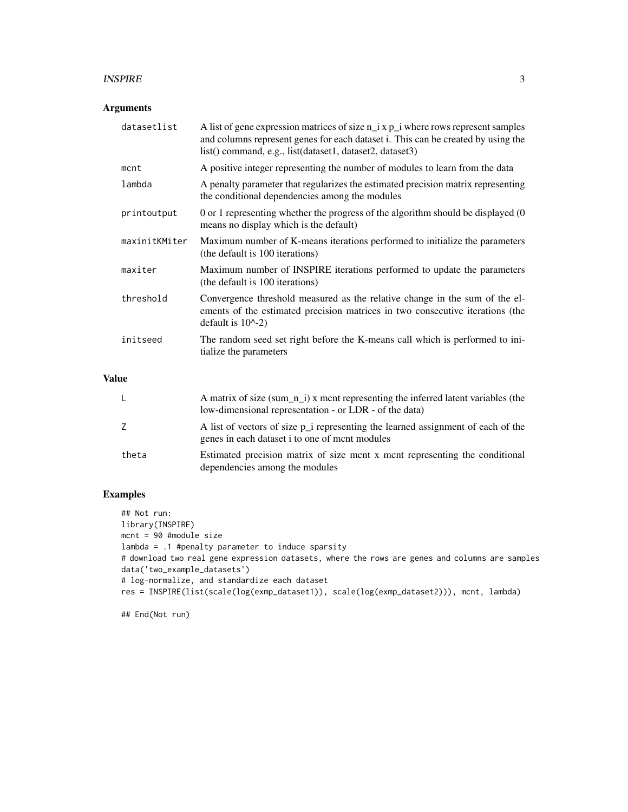#### INSPIRE 3

#### Arguments

| datasetlist   | A list of gene expression matrices of size $n_i$ x $p_i$ where rows represent samples<br>and columns represent genes for each dataset i. This can be created by using the<br>list() command, e.g., list(dataset1, dataset2, dataset3) |
|---------------|---------------------------------------------------------------------------------------------------------------------------------------------------------------------------------------------------------------------------------------|
| mcnt          | A positive integer representing the number of modules to learn from the data                                                                                                                                                          |
| lambda        | A penalty parameter that regularizes the estimated precision matrix representing<br>the conditional dependencies among the modules                                                                                                    |
| printoutput   | 0 or 1 representing whether the progress of the algorithm should be displayed (0<br>means no display which is the default)                                                                                                            |
| maxinitKMiter | Maximum number of K-means iterations performed to initialize the parameters<br>(the default is 100 iterations)                                                                                                                        |
| maxiter       | Maximum number of INSPIRE iterations performed to update the parameters<br>(the default is 100 iterations)                                                                                                                            |
| threshold     | Convergence threshold measured as the relative change in the sum of the el-<br>ements of the estimated precision matrices in two consecutive iterations (the<br>default is $10^{\circ}$ -2)                                           |
| initseed      | The random seed set right before the K-means call which is performed to ini-<br>tialize the parameters                                                                                                                                |

## Value

|       | A matrix of size (sum $\pi$ ) x mont representing the inferred latent variables (the<br>low-dimensional representation - or LDR - of the data) |
|-------|------------------------------------------------------------------------------------------------------------------------------------------------|
| Z.    | A list of vectors of size p i representing the learned assignment of each of the<br>genes in each dataset i to one of mont modules             |
| theta | Estimated precision matrix of size ment x ment representing the conditional<br>dependencies among the modules                                  |

## Examples

## Not run: library(INSPIRE) mcnt = 90 #module size lambda = .1 #penalty parameter to induce sparsity # download two real gene expression datasets, where the rows are genes and columns are samples data('two\_example\_datasets') # log-normalize, and standardize each dataset res = INSPIRE(list(scale(log(exmp\_dataset1)), scale(log(exmp\_dataset2))), mcnt, lambda)

## End(Not run)